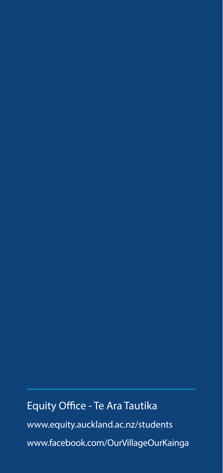# Equity Office - Te Ara Tautika www.equity.auckland.ac.nz/students www.facebook.com/OurVillageOurKainga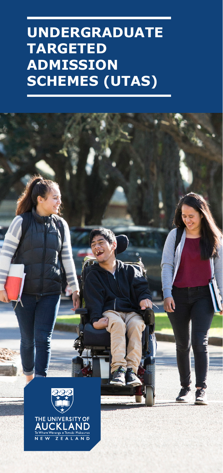# **UNDERGRADUATE TARGETED ADMISSION SCHEMES (UTAS)**

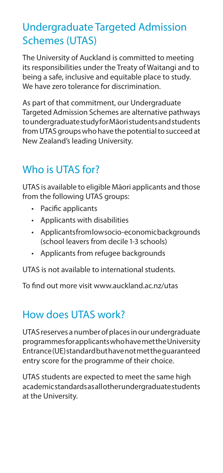#### Undergraduate Targeted Admission Schemes (UTAS)

The University of Auckland is committed to meeting its responsibilities under the Treaty of Waitangi and to being a safe, inclusive and equitable place to study. We have zero tolerance for discrimination.

As part of that commitment, our Undergraduate Targeted Admission Schemes are alternative pathways to undergraduate study for Māori students and students from UTAS groups who have the potential to succeed at New Zealand's leading University.

## Who is UTAS for?

UTAS is available to eligible Māori applicants and those from the following UTAS groups:

- Pacific applicants
- Applicants with disabilities
- Applicants from low socio-economic backgrounds (school leavers from decile 1-3 schools)
- Applicants from refugee backgrounds

UTAS is not available to international students.

To find out more visit www.auckland.ac.nz/utas

### How does UTAS work?

UTAS reserves a number of places in our undergraduate programmes for applicants who have met the University Entrance (UE) standard but have not met the guaranteed entry score for the programme of their choice.

UTAS students are expected to meet the same high academic standards as all other undergraduate students at the University.